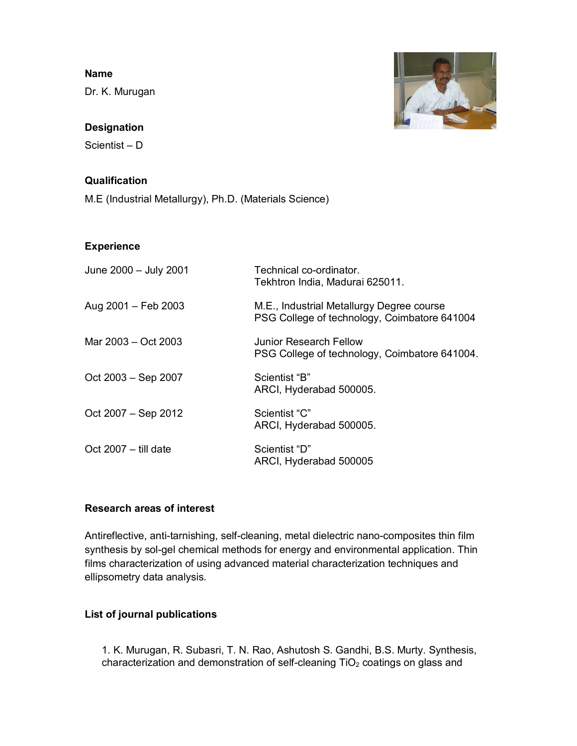### **Name**

Dr. K. Murugan

# **Designation**

Scientist – D

# **Qualification**

M.E (Industrial Metallurgy), Ph.D. (Materials Science)

## **Experience**

| June 2000 - July 2001  | Technical co-ordinator.<br>Tekhtron India, Madurai 625011.                                |
|------------------------|-------------------------------------------------------------------------------------------|
| Aug 2001 - Feb 2003    | M.E., Industrial Metallurgy Degree course<br>PSG College of technology, Coimbatore 641004 |
| Mar 2003 - Oct 2003    | Junior Research Fellow<br>PSG College of technology, Coimbatore 641004.                   |
| Oct 2003 – Sep 2007    | Scientist "B"<br>ARCI, Hyderabad 500005.                                                  |
| Oct 2007 – Sep 2012    | Scientist "C"<br>ARCI, Hyderabad 500005.                                                  |
| Oct $2007 -$ till date | Scientist "D"<br>ARCI, Hyderabad 500005                                                   |

# **Research areas of interest**

Antireflective, anti-tarnishing, self-cleaning, metal dielectric nano-composites thin film synthesis by sol-gel chemical methods for energy and environmental application. Thin films characterization of using advanced material characterization techniques and ellipsometry data analysis.

## **List of journal publications**

1. K. Murugan, R. Subasri, T. N. Rao, Ashutosh S. Gandhi, B.S. Murty. Synthesis, characterization and demonstration of self-cleaning  $TiO<sub>2</sub>$  coatings on glass and

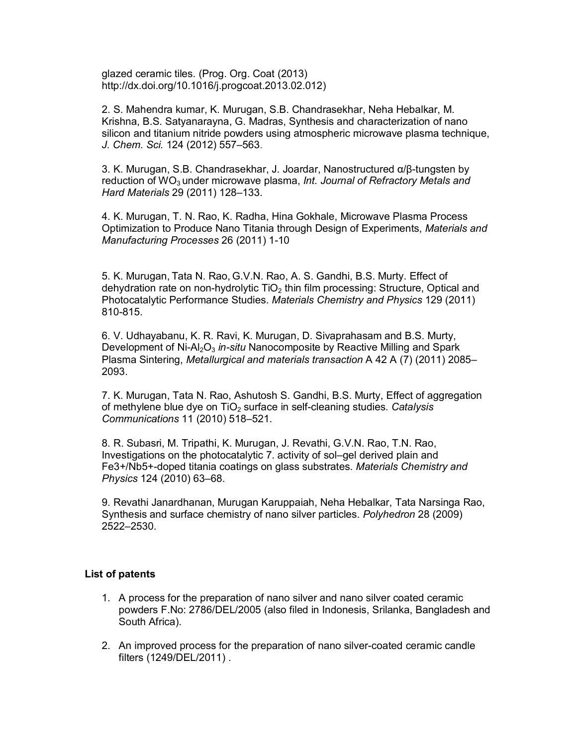glazed ceramic tiles. (Prog. Org. Coat (2013) http://dx.doi.org/10.1016/j.progcoat.2013.02.012)

2. S. Mahendra kumar, K. Murugan, S.B. Chandrasekhar, Neha Hebalkar, M. Krishna, B.S. Satyanarayna, G. Madras, Synthesis and characterization of nano silicon and titanium nitride powders using atmospheric microwave plasma technique, *J. Chem. Sci.* 124 (2012) 557–563.

3. K. Murugan, S.B. Chandrasekhar, J. Joardar, Nanostructured α/β-tungsten by reduction of WO<sub>3</sub> under microwave plasma, *Int. Journal of Refractory Metals and Hard Materials* 29 (2011) 128–133.

4. K. Murugan, T. N. Rao, K. Radha, Hina Gokhale, Microwave Plasma Process Optimization to Produce Nano Titania through Design of Experiments, *Materials and Manufacturing Processes* 26 (2011) 1-10

5. K. Murugan, Tata N. Rao, G.V.N. Rao, A. S. Gandhi, B.S. Murty. Effect of dehydration rate on non-hydrolytic  $TiO<sub>2</sub>$  thin film processing: Structure, Optical and Photocatalytic Performance Studies. *Materials Chemistry and Physics* 129 (2011) 810-815.

6. V. Udhayabanu, K. R. Ravi, K. Murugan, D. Sivaprahasam and B.S. Murty, Development of Ni-Al<sub>2</sub>O<sub>3</sub> in-situ Nanocomposite by Reactive Milling and Spark Plasma Sintering, *Metallurgical and materials transaction* A 42 A (7) (2011) 2085– 2093.

7. K. Murugan, Tata N. Rao, Ashutosh S. Gandhi, B.S. Murty, Effect of aggregation of methylene blue dye on TiO<sub>2</sub> surface in self-cleaning studies. *Catalysis Communications* 11 (2010) 518–521.

8. R. Subasri, M. Tripathi, K. Murugan, J. Revathi, G.V.N. Rao, T.N. Rao, Investigations on the photocatalytic 7. activity of sol–gel derived plain and Fe3+/Nb5+-doped titania coatings on glass substrates. *Materials Chemistry and Physics* 124 (2010) 63–68.

9. Revathi Janardhanan, Murugan Karuppaiah, Neha Hebalkar, Tata Narsinga Rao, Synthesis and surface chemistry of nano silver particles. *Polyhedron* 28 (2009) 2522–2530.

#### **List of patents**

- 1. A process for the preparation of nano silver and nano silver coated ceramic powders F.No: 2786/DEL/2005 (also filed in Indonesis, Srilanka, Bangladesh and South Africa).
- 2. An improved process for the preparation of nano silver-coated ceramic candle filters (1249/DEL/2011) .